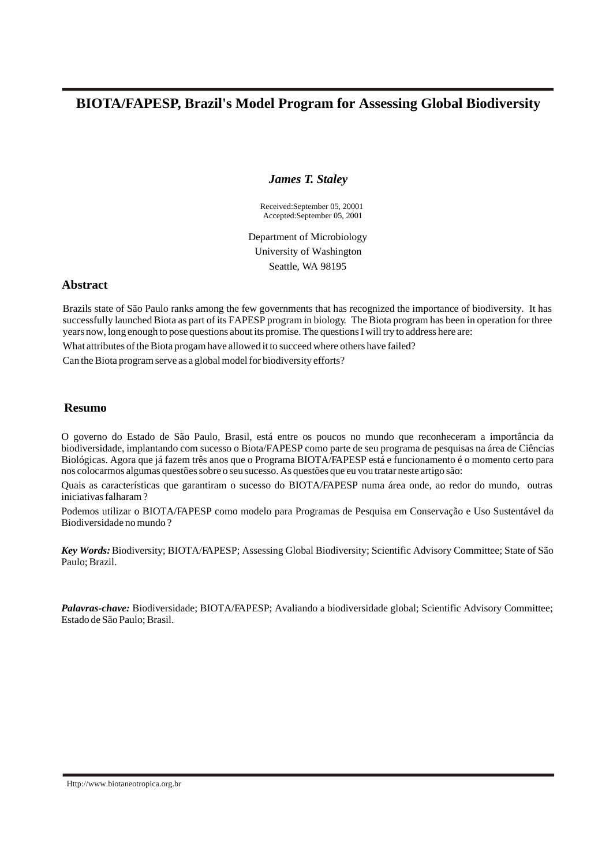# **BIOTA/FAPESP, Brazil's Model Program for Assessing Global Biodiversity**

*James T. Staley*

Received:September 05, 20001 Accepted:September 05, 2001

Department of Microbiology University of Washington Seattle, WA 98195

## **Abstract**

Brazils state of São Paulo ranks among the few governments that has recognized the importance of biodiversity. It has successfully launched Biota as part of its FAPESP program in biology. The Biota program has been in operation for three years now, long enough to pose questions about its promise. The questions I will try to address here are:

What attributes of the Biota progam have allowed it to succeed where others have failed?

Can the Biota program serve as a global model for biodiversity efforts?

## **Resumo**

O governo do Estado de São Paulo, Brasil, está entre os poucos no mundo que reconheceram a importância da biodiversidade, implantando com sucesso o Biota/FAPESP como parte de seu programa de pesquisas na área de Ciências Biológicas. Agora que já fazem três anos que o Programa BIOTA/FAPESP está e funcionamento é o momento certo para nos colocarmos algumas questões sobre o seu sucesso. As questões que eu vou tratar neste artigo são:

Quais as características que garantiram o sucesso do BIOTA/FAPESP numa área onde, ao redor do mundo, outras iniciativas falharam ?

Podemos utilizar o BIOTA/FAPESP como modelo para Programas de Pesquisa em Conservação e Uso Sustentável da Biodiversidade no mundo ?

*Key Words:* Biodiversity; BIOTA/FAPESP; Assessing Global Biodiversity; Scientific Advisory Committee; State of São Paulo; Brazil.

*Palavras-chave:* Biodiversidade; BIOTA/FAPESP; Avaliando a biodiversidade global; Scientific Advisory Committee; Estado de São Paulo; Brasil.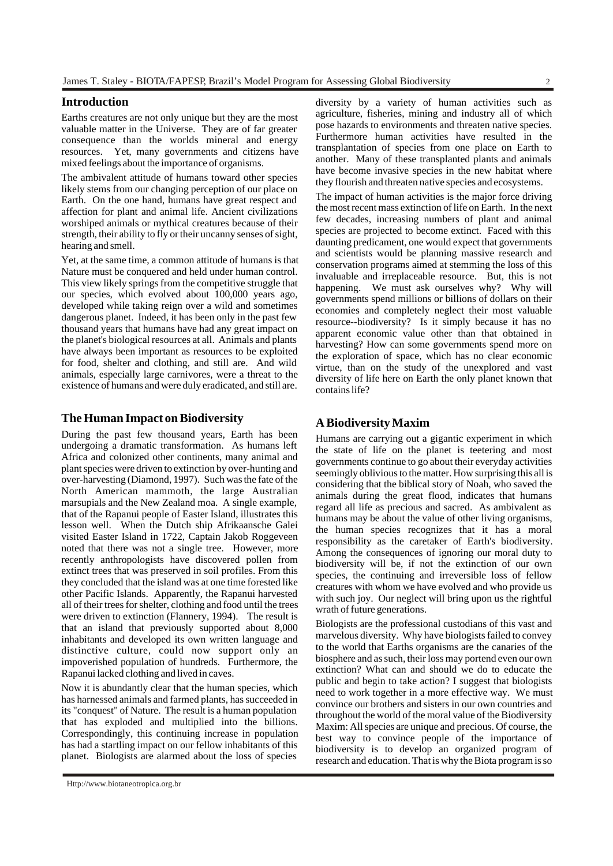#### **Introduction**

Earths creatures are not only unique but they are the most valuable matter in the Universe. They are of far greater consequence than the worlds mineral and energy resources. Yet, many governments and citizens have mixed feelings about the importance of organisms.

The ambivalent attitude of humans toward other species likely stems from our changing perception of our place on Earth. On the one hand, humans have great respect and affection for plant and animal life. Ancient civilizations worshiped animals or mythical creatures because of their strength, their ability to fly or their uncanny senses of sight, hearing and smell.

Yet, at the same time, a common attitude of humans is that Nature must be conquered and held under human control. This view likely springs from the competitive struggle that our species, which evolved about 100,000 years ago, developed while taking reign over a wild and sometimes dangerous planet. Indeed, it has been only in the past few thousand years that humans have had any great impact on the planet's biological resources at all. Animals and plants have always been important as resources to be exploited for food, shelter and clothing, and still are. And wild animals, especially large carnivores, were a threat to the existence of humans and were duly eradicated, and still are.

## **The Human Impact on Biodiversity**

During the past few thousand years, Earth has been undergoing a dramatic transformation. As humans left Africa and colonized other continents, many animal and plant species were driven to extinction by over-hunting and over-harvesting (Diamond, 1997). Such was the fate of the North American mammoth, the large Australian marsupials and the New Zealand moa. A single example, that of the Rapanui people of Easter Island, illustrates this lesson well. When the Dutch ship Afrikaansche Galei visited Easter Island in 1722, Captain Jakob Roggeveen noted that there was not a single tree. However, more recently anthropologists have discovered pollen from extinct trees that was preserved in soil profiles. From this they concluded that the island was at one time forested like other Pacific Islands. Apparently, the Rapanui harvested all of their trees for shelter, clothing and food until the trees were driven to extinction (Flannery, 1994). The result is that an island that previously supported about 8,000 inhabitants and developed its own written language and distinctive culture, could now support only an impoverished population of hundreds. Furthermore, the Rapanui lacked clothing and lived in caves.

Now it is abundantly clear that the human species, which has harnessed animals and farmed plants, has succeeded in its "conquest" of Nature. The result is a human population that has exploded and multiplied into the billions. Correspondingly, this continuing increase in population has had a startling impact on our fellow inhabitants of this planet. Biologists are alarmed about the loss of species

diversity by a variety of human activities such as agriculture, fisheries, mining and industry all of which pose hazards to environments and threaten native species. Furthermore human activities have resulted in the transplantation of species from one place on Earth to another. Many of these transplanted plants and animals have become invasive species in the new habitat where they flourish and threaten native species and ecosystems.

The impact of human activities is the major force driving the most recent mass extinction of life on Earth. In the next few decades, increasing numbers of plant and animal species are projected to become extinct. Faced with this daunting predicament, one would expect that governments and scientists would be planning massive research and conservation programs aimed at stemming the loss of this invaluable and irreplaceable resource. But, this is not happening. We must ask ourselves why? Why will governments spend millions or billions of dollars on their economies and completely neglect their most valuable resource--biodiversity? Is it simply because it has no apparent economic value other than that obtained in harvesting? How can some governments spend more on the exploration of space, which has no clear economic virtue, than on the study of the unexplored and vast diversity of life here on Earth the only planet known that contains life?

#### **A Biodiversity Maxim**

Humans are carrying out a gigantic experiment in which the state of life on the planet is teetering and most governments continue to go about their everyday activities seemingly oblivious to the matter. How surprising this all is considering that the biblical story of Noah, who saved the animals during the great flood, indicates that humans regard all life as precious and sacred. As ambivalent as humans may be about the value of other living organisms, the human species recognizes that it has a moral responsibility as the caretaker of Earth's biodiversity. Among the consequences of ignoring our moral duty to biodiversity will be, if not the extinction of our own species, the continuing and irreversible loss of fellow creatures with whom we have evolved and who provide us with such joy. Our neglect will bring upon us the rightful wrath of future generations.

Biologists are the professional custodians of this vast and marvelous diversity. Why have biologists failed to convey to the world that Earths organisms are the canaries of the biosphere and as such, their loss may portend even our own extinction? What can and should we do to educate the public and begin to take action? I suggest that biologists need to work together in a more effective way. We must convince our brothers and sisters in our own countries and throughout the world of the moral value of the Biodiversity Maxim: All species are unique and precious. Of course, the best way to convince people of the importance of biodiversity is to develop an organized program of research and education. That is why the Biota program is so

[Http://www.biotaneotropica.org.br](http://www.biotaneotropica.org.br)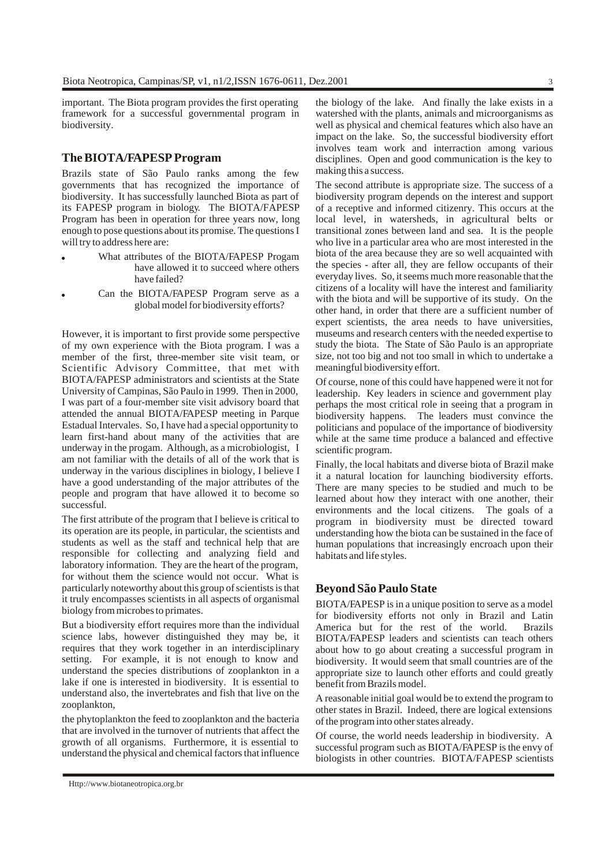important. The Biota program provides the first operating framework for a successful governmental program in biodiversity.

#### **The BIOTA/FAPESP Program**

Brazils state of São Paulo ranks among the few governments that has recognized the importance of biodiversity. It has successfully launched Biota as part of its FAPESP program in biology. The BIOTA/FAPESP Program has been in operation for three years now, long enough to pose questions about its promise. The questions I will try to address here are:

- ! What attributes of the BIOTA/FAPESP Progam have allowed it to succeed where others have failed?
- Can the BIOTA/FAPESP Program serve as a global model for biodiversity efforts?

However, it is important to first provide some perspective of my own experience with the Biota program. I was a member of the first, three-member site visit team, or Scientific Advisory Committee, that met with BIOTA/FAPESP administrators and scientists at the State University of Campinas, São Paulo in 1999. Then in 2000, I was part of a four-member site visit advisory board that attended the annual BIOTA/FAPESP meeting in Parque Estadual Intervales. So, I have had a special opportunity to learn first-hand about many of the activities that are underway in the progam. Although, as a microbiologist, I am not familiar with the details of all of the work that is underway in the various disciplines in biology, I believe I have a good understanding of the major attributes of the people and program that have allowed it to become so successful.

The first attribute of the program that I believe is critical to its operation are its people, in particular, the scientists and students as well as the staff and technical help that are responsible for collecting and analyzing field and laboratory information. They are the heart of the program, for without them the science would not occur. What is particularly noteworthy about this group of scientists is that it truly encompasses scientists in all aspects of organismal biology from microbes to primates.

But a biodiversity effort requires more than the individual science labs, however distinguished they may be, it requires that they work together in an interdisciplinary setting. For example, it is not enough to know and understand the species distributions of zooplankton in a lake if one is interested in biodiversity. It is essential to understand also, the invertebrates and fish that live on the zooplankton,

the phytoplankton the feed to zooplankton and the bacteria that are involved in the turnover of nutrients that affect the growth of all organisms. Furthermore, it is essential to understand the physical and chemical factors that influence the biology of the lake. And finally the lake exists in a watershed with the plants, animals and microorganisms as well as physical and chemical features which also have an impact on the lake. So, the successful biodiversity effort involves team work and interraction among various disciplines. Open and good communication is the key to making this a success.

The second attribute is appropriate size. The success of a biodiversity program depends on the interest and support of a receptive and informed citizenry. This occurs at the local level, in watersheds, in agricultural belts or transitional zones between land and sea. It is the people who live in a particular area who are most interested in the biota of the area because they are so well acquainted with the species - after all, they are fellow occupants of their everyday lives. So, it seems much more reasonable that the citizens of a locality will have the interest and familiarity with the biota and will be supportive of its study. On the other hand, in order that there are a sufficient number of expert scientists, the area needs to have universities, museums and research centers with the needed expertise to study the biota. The State of São Paulo is an appropriate size, not too big and not too small in which to undertake a meaningful biodiversity effort.

Of course, none of this could have happened were it not for leadership. Key leaders in science and government play perhaps the most critical role in seeing that a program in biodiversity happens. The leaders must convince the politicians and populace of the importance of biodiversity while at the same time produce a balanced and effective scientific program.

Finally, the local habitats and diverse biota of Brazil make it a natural location for launching biodiversity efforts. There are many species to be studied and much to be learned about how they interact with one another, their environments and the local citizens. The goals of a program in biodiversity must be directed toward understanding how the biota can be sustained in the face of human populations that increasingly encroach upon their habitats and life styles.

### **Beyond São Paulo State**

BIOTA/FAPESP is in a unique position to serve as a model for biodiversity efforts not only in Brazil and Latin America but for the rest of the world. Brazils BIOTA/FAPESP leaders and scientists can teach others about how to go about creating a successful program in biodiversity. It would seem that small countries are of the appropriate size to launch other efforts and could greatly benefit from Brazils model.

A reasonable initial goal would be to extend the program to other states in Brazil. Indeed, there are logical extensions of the program into other states already.

Of course, the world needs leadership in biodiversity. A successful program such as BIOTA/FAPESP is the envy of biologists in other countries. BIOTA/FAPESP scientists

[Http://www.biotaneotropica.org.br](http://www.biotaneotropica.org.br)